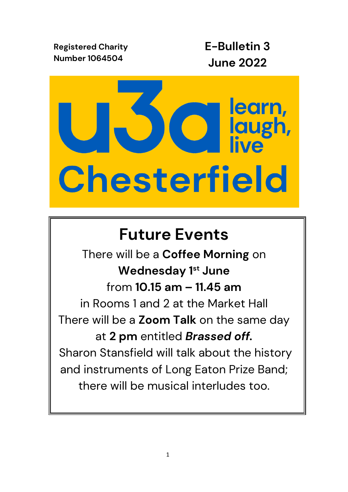**Registered Charity Number 1064504**

**E-Bulletin 3 June 2022**



# **Future Events**

There will be a **Coffee Morning** on **Wednesday 1 st June** from **10.15 am – 11.45 am** in Rooms 1 and 2 at the Market Hall There will be a **Zoom Talk** on the same day at **2 pm** entitled *Brassed off.* Sharon Stansfield will talk about the history and instruments of Long Eaton Prize Band; there will be musical interludes too.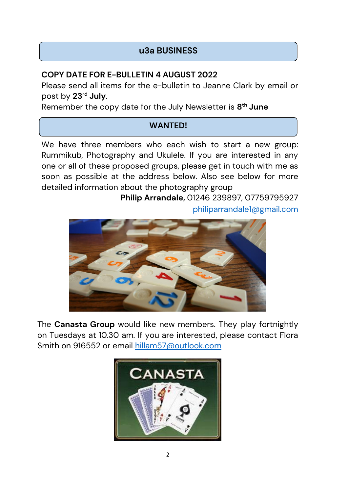## **u3a BUSINESS**

## **COPY DATE FOR E-BULLETIN 4 AUGUST 2022**

Please send all items for the e-bulletin to Jeanne Clark by email or post by **23rd July**.

Remember the copy date for the July Newsletter is **8 th June**

## **WANTED!**

We have three members who each wish to start a new group: Rummikub, Photography and Ukulele. If you are interested in any one or all of these proposed groups, please get in touch with me as soon as possible at the address below. Also see below for more detailed information about the photography group

> **Philip Arrandale,** 01246 239897, 07759795927 [philiparrandale1@gmail.com](mailto:philiparrandale1@gmail.com)



The **Canasta Group** would like new members. They play fortnightly on Tuesdays at 10.30 am. If you are interested, please contact Flora Smith on 916552 or email [hillam57@outlook.com](mailto:hillam57@outlook.com)